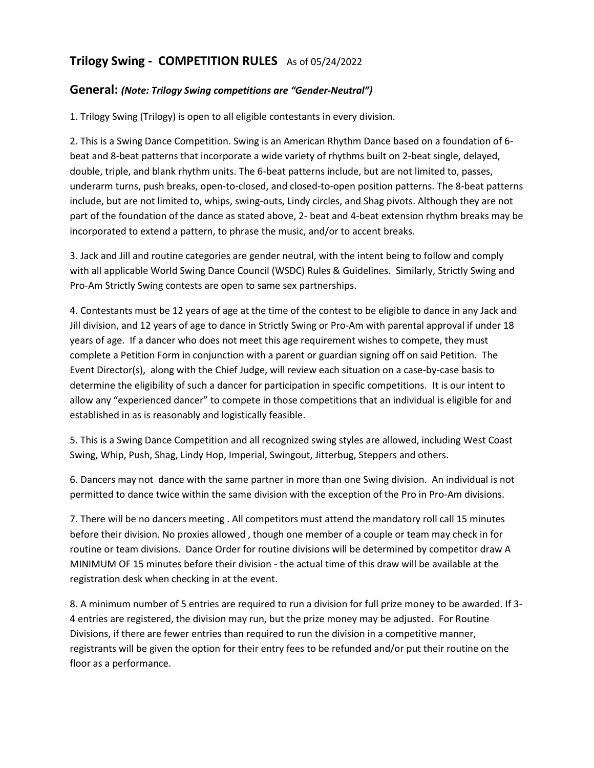# **Trilogy Swing - COMPETITION RULES** As of 05/24/2022

### **General:** *(Note: Trilogy Swing competitions are "Gender-Neutral")*

1. Trilogy Swing (Trilogy) is open to all eligible contestants in every division.

2. This is a Swing Dance Competition. Swing is an American Rhythm Dance based on a foundation of 6 beat and 8-beat patterns that incorporate a wide variety of rhythms built on 2-beat single, delayed, double, triple, and blank rhythm units. The 6-beat patterns include, but are not limited to, passes, underarm turns, push breaks, open-to-closed, and closed-to-open position patterns. The 8-beat patterns include, but are not limited to, whips, swing-outs, Lindy circles, and Shag pivots. Although they are not part of the foundation of the dance as stated above, 2- beat and 4-beat extension rhythm breaks may be incorporated to extend a pattern, to phrase the music, and/or to accent breaks.

3. Jack and Jill and routine categories are gender neutral, with the intent being to follow and comply with all applicable World Swing Dance Council (WSDC) Rules & Guidelines. Similarly, Strictly Swing and Pro-Am Strictly Swing contests are open to same sex partnerships.

4. Contestants must be 12 years of age at the time of the contest to be eligible to dance in any Jack and Jill division, and 12 years of age to dance in Strictly Swing or Pro-Am with parental approval if under 18 years of age. If a dancer who does not meet this age requirement wishes to compete, they must complete a Petition Form in conjunction with a parent or guardian signing off on said Petition. The Event Director(s), along with the Chief Judge, will review each situation on a case-by-case basis to determine the eligibility of such a dancer for participation in specific competitions. It is our intent to allow any "experienced dancer" to compete in those competitions that an individual is eligible for and established in as is reasonably and logistically feasible.

5. This is a Swing Dance Competition and all recognized swing styles are allowed, including West Coast Swing, Whip, Push, Shag, Lindy Hop, Imperial, Swingout, Jitterbug, Steppers and others.

6. Dancers may not dance with the same partner in more than one Swing division. An individual is not permitted to dance twice within the same division with the exception of the Pro in Pro-Am divisions.

7. There will be no dancers meeting . All competitors must attend the mandatory roll call 15 minutes before their division. No proxies allowed , though one member of a couple or team may check in for routine or team divisions. Dance Order for routine divisions will be determined by competitor draw A MINIMUM OF 15 minutes before their division - the actual time of this draw will be available at the registration desk when checking in at the event.

8. A minimum number of 5 entries are required to run a division for full prize money to be awarded. If 3- 4 entries are registered, the division may run, but the prize money may be adjusted. For Routine Divisions, if there are fewer entries than required to run the division in a competitive manner, registrants will be given the option for their entry fees to be refunded and/or put their routine on the floor as a performance.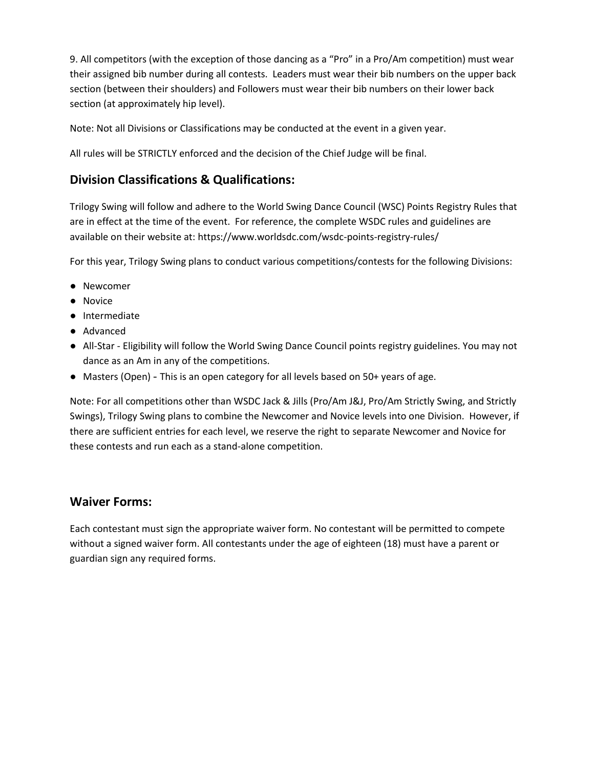9. All competitors (with the exception of those dancing as a "Pro" in a Pro/Am competition) must wear their assigned bib number during all contests. Leaders must wear their bib numbers on the upper back section (between their shoulders) and Followers must wear their bib numbers on their lower back section (at approximately hip level).

Note: Not all Divisions or Classifications may be conducted at the event in a given year.

All rules will be STRICTLY enforced and the decision of the Chief Judge will be final.

# **Division Classifications & Qualifications:**

Trilogy Swing will follow and adhere to the World Swing Dance Council (WSC) Points Registry Rules that are in effect at the time of the event. For reference, the complete WSDC rules and guidelines are available on their website at: https://www.worldsdc.com/wsdc-points-registry-rules/

For this year, Trilogy Swing plans to conduct various competitions/contests for the following Divisions:

- Newcomer
- Novice
- Intermediate
- Advanced
- All-Star Eligibility will follow the World Swing Dance Council points registry guidelines. You may not dance as an Am in any of the competitions.
- Masters (Open) This is an open category for all levels based on 50+ years of age.

Note: For all competitions other than WSDC Jack & Jills (Pro/Am J&J, Pro/Am Strictly Swing, and Strictly Swings), Trilogy Swing plans to combine the Newcomer and Novice levels into one Division. However, if there are sufficient entries for each level, we reserve the right to separate Newcomer and Novice for these contests and run each as a stand-alone competition.

## **Waiver Forms:**

Each contestant must sign the appropriate waiver form. No contestant will be permitted to compete without a signed waiver form. All contestants under the age of eighteen (18) must have a parent or guardian sign any required forms.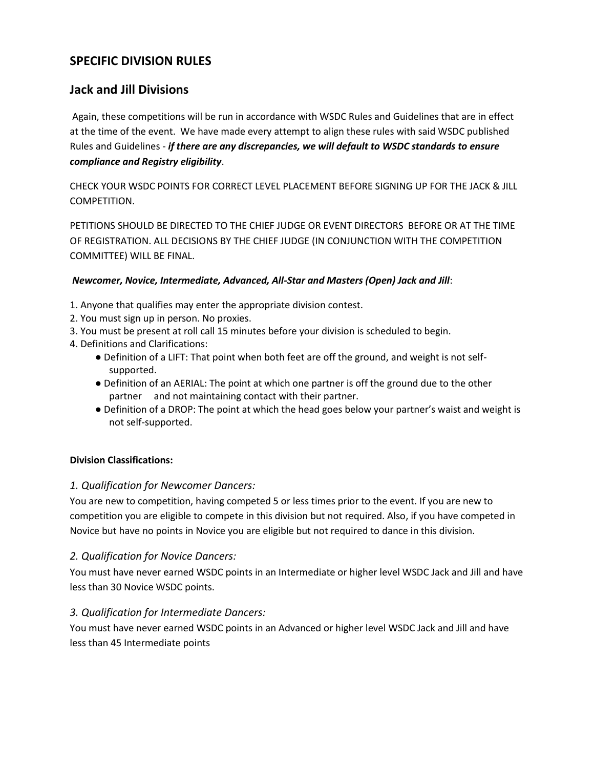# **SPECIFIC DIVISION RULES**

# **Jack and Jill Divisions**

Again, these competitions will be run in accordance with WSDC Rules and Guidelines that are in effect at the time of the event. We have made every attempt to align these rules with said WSDC published Rules and Guidelines - *if there are any discrepancies, we will default to WSDC standards to ensure compliance and Registry eligibility*.

CHECK YOUR WSDC POINTS FOR CORRECT LEVEL PLACEMENT BEFORE SIGNING UP FOR THE JACK & JILL COMPETITION.

PETITIONS SHOULD BE DIRECTED TO THE CHIEF JUDGE OR EVENT DIRECTORS BEFORE OR AT THE TIME OF REGISTRATION. ALL DECISIONS BY THE CHIEF JUDGE (IN CONJUNCTION WITH THE COMPETITION COMMITTEE) WILL BE FINAL.

#### *Newcomer, Novice, Intermediate, Advanced, All-Star and Masters (Open) Jack and Jill*:

- 1. Anyone that qualifies may enter the appropriate division contest.
- 2. You must sign up in person. No proxies.
- 3. You must be present at roll call 15 minutes before your division is scheduled to begin.
- 4. Definitions and Clarifications:
	- Definition of a LIFT: That point when both feet are off the ground, and weight is not selfsupported.
	- Definition of an AERIAL: The point at which one partner is off the ground due to the other partner and not maintaining contact with their partner.
	- Definition of a DROP: The point at which the head goes below your partner's waist and weight is not self-supported.

#### **Division Classifications:**

#### *1. Qualification for Newcomer Dancers:*

You are new to competition, having competed 5 or less times prior to the event. If you are new to competition you are eligible to compete in this division but not required. Also, if you have competed in Novice but have no points in Novice you are eligible but not required to dance in this division.

#### *2. Qualification for Novice Dancers:*

You must have never earned WSDC points in an Intermediate or higher level WSDC Jack and Jill and have less than 30 Novice WSDC points.

#### *3. Qualification for Intermediate Dancers:*

You must have never earned WSDC points in an Advanced or higher level WSDC Jack and Jill and have less than 45 Intermediate points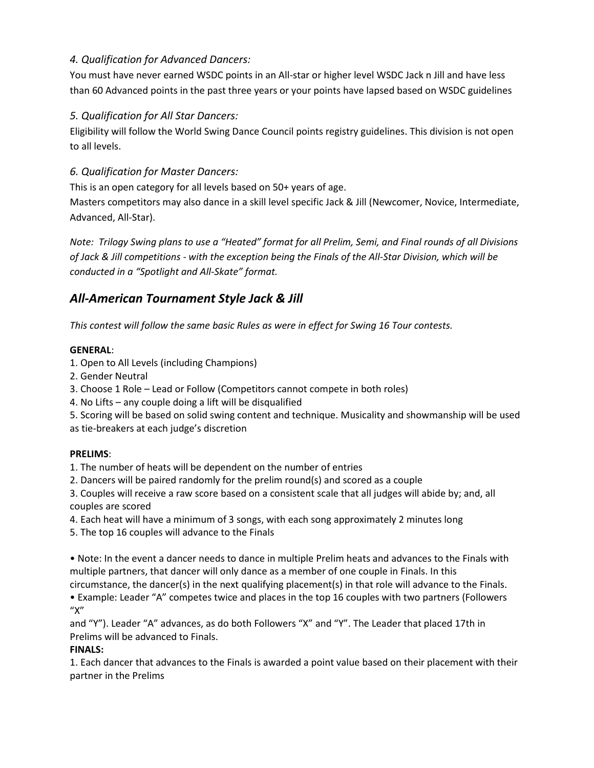## *4. Qualification for Advanced Dancers:*

You must have never earned WSDC points in an All-star or higher level WSDC Jack n Jill and have less than 60 Advanced points in the past three years or your points have lapsed based on WSDC guidelines

## *5. Qualification for All Star Dancers:*

Eligibility will follow the World Swing Dance Council points registry guidelines. This division is not open to all levels.

## *6. Qualification for Master Dancers:*

This is an open category for all levels based on 50+ years of age.

Masters competitors may also dance in a skill level specific Jack & Jill (Newcomer, Novice, Intermediate, Advanced, All-Star).

*Note: Trilogy Swing plans to use a "Heated" format for all Prelim, Semi, and Final rounds of all Divisions of Jack & Jill competitions - with the exception being the Finals of the All-Star Division, which will be conducted in a "Spotlight and All-Skate" format.* 

# *All-American Tournament Style Jack & Jill*

*This contest will follow the same basic Rules as were in effect for Swing 16 Tour contests.* 

### **GENERAL**:

- 1. Open to All Levels (including Champions)
- 2. Gender Neutral
- 3. Choose 1 Role Lead or Follow (Competitors cannot compete in both roles)
- 4. No Lifts any couple doing a lift will be disqualified
- 5. Scoring will be based on solid swing content and technique. Musicality and showmanship will be used

as tie-breakers at each judge's discretion

## **PRELIMS**:

- 1. The number of heats will be dependent on the number of entries
- 2. Dancers will be paired randomly for the prelim round(s) and scored as a couple

3. Couples will receive a raw score based on a consistent scale that all judges will abide by; and, all couples are scored

- 4. Each heat will have a minimum of 3 songs, with each song approximately 2 minutes long
- 5. The top 16 couples will advance to the Finals

• Note: In the event a dancer needs to dance in multiple Prelim heats and advances to the Finals with multiple partners, that dancer will only dance as a member of one couple in Finals. In this circumstance, the dancer(s) in the next qualifying placement(s) in that role will advance to the Finals.

• Example: Leader "A" competes twice and places in the top 16 couples with two partners (Followers  $''X''$ 

and "Y"). Leader "A" advances, as do both Followers "X" and "Y". The Leader that placed 17th in Prelims will be advanced to Finals.

#### **FINALS:**

1. Each dancer that advances to the Finals is awarded a point value based on their placement with their partner in the Prelims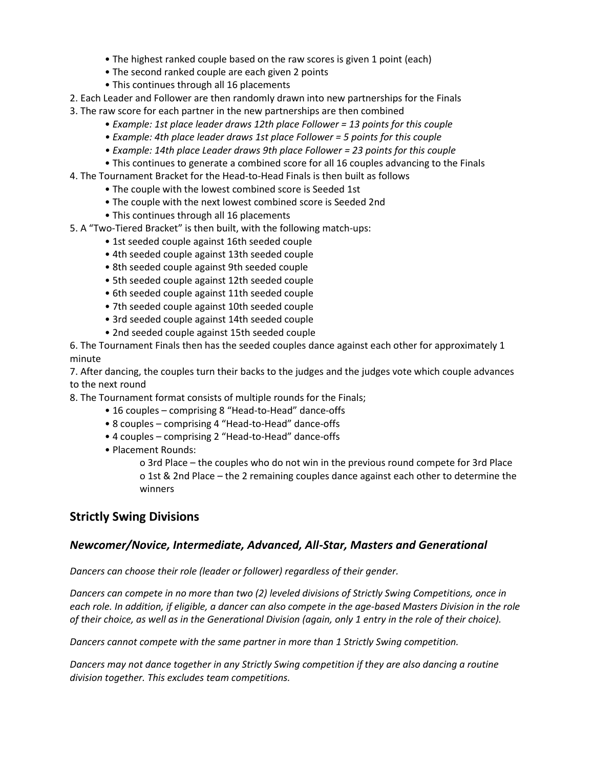- The highest ranked couple based on the raw scores is given 1 point (each)
- The second ranked couple are each given 2 points
- This continues through all 16 placements
- 2. Each Leader and Follower are then randomly drawn into new partnerships for the Finals
- 3. The raw score for each partner in the new partnerships are then combined
	- *Example: 1st place leader draws 12th place Follower = 13 points for this couple*
	- *Example: 4th place leader draws 1st place Follower = 5 points for this couple*
	- *Example: 14th place Leader draws 9th place Follower = 23 points for this couple*
	- This continues to generate a combined score for all 16 couples advancing to the Finals
- 4. The Tournament Bracket for the Head-to-Head Finals is then built as follows
	- The couple with the lowest combined score is Seeded 1st
	- The couple with the next lowest combined score is Seeded 2nd
	- This continues through all 16 placements
- 5. A "Two-Tiered Bracket" is then built, with the following match-ups:
	- 1st seeded couple against 16th seeded couple
	- 4th seeded couple against 13th seeded couple
	- 8th seeded couple against 9th seeded couple
	- 5th seeded couple against 12th seeded couple
	- 6th seeded couple against 11th seeded couple
	- 7th seeded couple against 10th seeded couple
	- 3rd seeded couple against 14th seeded couple
	- 2nd seeded couple against 15th seeded couple

6. The Tournament Finals then has the seeded couples dance against each other for approximately 1 minute

7. After dancing, the couples turn their backs to the judges and the judges vote which couple advances to the next round

8. The Tournament format consists of multiple rounds for the Finals;

- 16 couples comprising 8 "Head-to-Head" dance-offs
- 8 couples comprising 4 "Head-to-Head" dance-offs
- 4 couples comprising 2 "Head-to-Head" dance-offs
- Placement Rounds:

o 3rd Place – the couples who do not win in the previous round compete for 3rd Place o 1st & 2nd Place – the 2 remaining couples dance against each other to determine the winners

# **Strictly Swing Divisions**

#### *Newcomer/Novice, Intermediate, Advanced, All-Star, Masters and Generational*

*Dancers can choose their role (leader or follower) regardless of their gender.*

*Dancers can compete in no more than two (2) leveled divisions of Strictly Swing Competitions, once in each role. In addition, if eligible, a dancer can also compete in the age-based Masters Division in the role of their choice, as well as in the Generational Division (again, only 1 entry in the role of their choice).*

*Dancers cannot compete with the same partner in more than 1 Strictly Swing competition.*

*Dancers may not dance together in any Strictly Swing competition if they are also dancing a routine division together. This excludes team competitions.*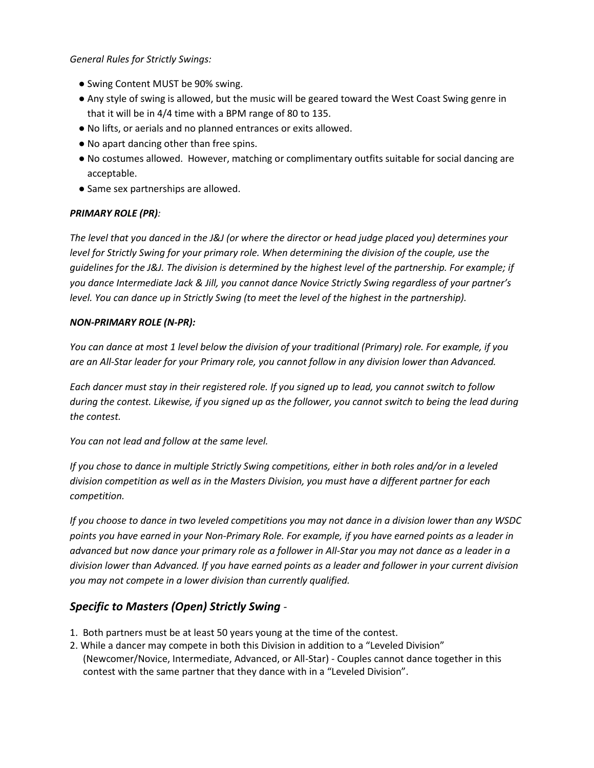#### *General Rules for Strictly Swings:*

- Swing Content MUST be 90% swing.
- Any style of swing is allowed, but the music will be geared toward the West Coast Swing genre in that it will be in 4/4 time with a BPM range of 80 to 135.
- No lifts, or aerials and no planned entrances or exits allowed.
- No apart dancing other than free spins.
- No costumes allowed. However, matching or complimentary outfits suitable for social dancing are acceptable.
- Same sex partnerships are allowed.

#### *PRIMARY ROLE (PR):*

*The level that you danced in the J&J (or where the director or head judge placed you) determines your level for Strictly Swing for your primary role. When determining the division of the couple, use the guidelines for the J&J. The division is determined by the highest level of the partnership. For example; if you dance Intermediate Jack & Jill, you cannot dance Novice Strictly Swing regardless of your partner's level. You can dance up in Strictly Swing (to meet the level of the highest in the partnership).* 

#### *NON-PRIMARY ROLE (N-PR):*

*You can dance at most 1 level below the division of your traditional (Primary) role. For example, if you are an All-Star leader for your Primary role, you cannot follow in any division lower than Advanced.* 

*Each dancer must stay in their registered role. If you signed up to lead, you cannot switch to follow during the contest. Likewise, if you signed up as the follower, you cannot switch to being the lead during the contest.*

*You can not lead and follow at the same level.* 

*If you chose to dance in multiple Strictly Swing competitions, either in both roles and/or in a leveled division competition as well as in the Masters Division, you must have a different partner for each competition.*

*If you choose to dance in two leveled competitions you may not dance in a division lower than any WSDC points you have earned in your Non-Primary Role. For example, if you have earned points as a leader in advanced but now dance your primary role as a follower in All-Star you may not dance as a leader in a division lower than Advanced. If you have earned points as a leader and follower in your current division you may not compete in a lower division than currently qualified.*

## *Specific to Masters (Open) Strictly Swing -*

- 1. Both partners must be at least 50 years young at the time of the contest.
- 2. While a dancer may compete in both this Division in addition to a "Leveled Division" (Newcomer/Novice, Intermediate, Advanced, or All-Star) - Couples cannot dance together in this contest with the same partner that they dance with in a "Leveled Division".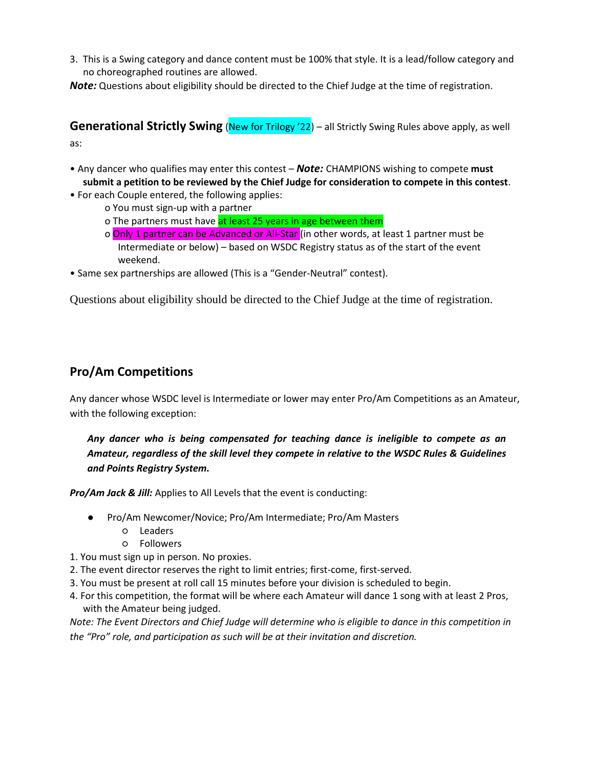3. This is a Swing category and dance content must be 100% that style. It is a lead/follow category and no choreographed routines are allowed.

*Note:* Questions about eligibility should be directed to the Chief Judge at the time of registration.

**Generational Strictly Swing** (New for Trilogy '22) – all Strictly Swing Rules above apply, as well as:

- Any dancer who qualifies may enter this contest *Note:* CHAMPIONS wishing to compete **must submit a petition to be reviewed by the Chief Judge for consideration to compete in this contest**.
- For each Couple entered, the following applies:
	- o You must sign-up with a partner
	- o The partners must have at least 25 years in age between them
	- o Only 1 partner can be Advanced or All-Star (in other words, at least 1 partner must be Intermediate or below) – based on WSDC Registry status as of the start of the event weekend.
- Same sex partnerships are allowed (This is a "Gender-Neutral" contest).

Questions about eligibility should be directed to the Chief Judge at the time of registration.

# **Pro/Am Competitions**

Any dancer whose WSDC level is Intermediate or lower may enter Pro/Am Competitions as an Amateur, with the following exception:

## *Any dancer who is being compensated for teaching dance is ineligible to compete as an Amateur, regardless of the skill level they compete in relative to the WSDC Rules & Guidelines and Points Registry System.*

*Pro/Am Jack & Jill:* Applies to All Levels that the event is conducting:

- Pro/Am Newcomer/Novice; Pro/Am Intermediate; Pro/Am Masters
	- Leaders
	- Followers
- 1. You must sign up in person. No proxies.
- 2. The event director reserves the right to limit entries; first-come, first-served.
- 3. You must be present at roll call 15 minutes before your division is scheduled to begin.
- 4. For this competition, the format will be where each Amateur will dance 1 song with at least 2 Pros, with the Amateur being judged.

*Note: The Event Directors and Chief Judge will determine who is eligible to dance in this competition in the "Pro" role, and participation as such will be at their invitation and discretion.*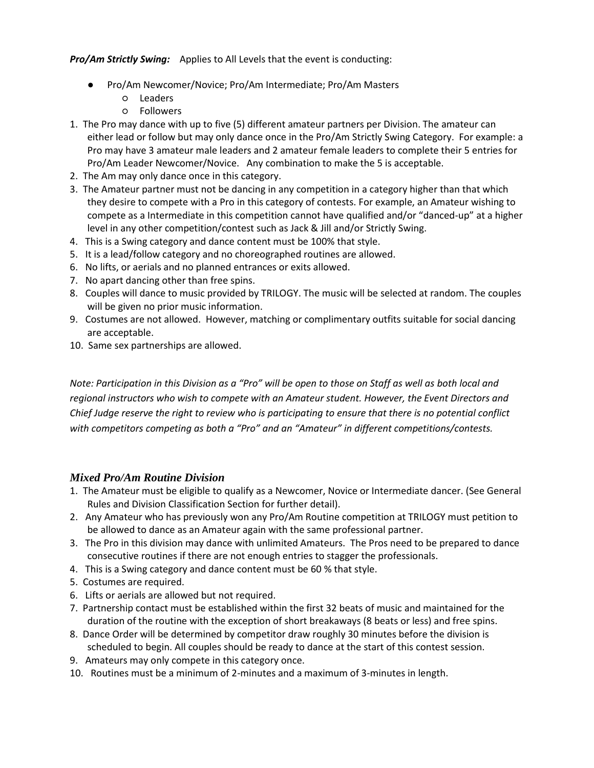*Pro/Am Strictly Swing:* Applies to All Levels that the event is conducting:

- Pro/Am Newcomer/Novice; Pro/Am Intermediate; Pro/Am Masters
	- Leaders
	- Followers
- 1. The Pro may dance with up to five (5) different amateur partners per Division. The amateur can either lead or follow but may only dance once in the Pro/Am Strictly Swing Category. For example: a Pro may have 3 amateur male leaders and 2 amateur female leaders to complete their 5 entries for Pro/Am Leader Newcomer/Novice. Any combination to make the 5 is acceptable.
- 2. The Am may only dance once in this category.
- 3. The Amateur partner must not be dancing in any competition in a category higher than that which they desire to compete with a Pro in this category of contests. For example, an Amateur wishing to compete as a Intermediate in this competition cannot have qualified and/or "danced-up" at a higher level in any other competition/contest such as Jack & Jill and/or Strictly Swing.
- 4. This is a Swing category and dance content must be 100% that style.
- 5. It is a lead/follow category and no choreographed routines are allowed.
- 6. No lifts, or aerials and no planned entrances or exits allowed.
- 7. No apart dancing other than free spins.
- 8. Couples will dance to music provided by TRILOGY. The music will be selected at random. The couples will be given no prior music information.
- 9. Costumes are not allowed. However, matching or complimentary outfits suitable for social dancing are acceptable.
- 10. Same sex partnerships are allowed.

*Note: Participation in this Division as a "Pro" will be open to those on Staff as well as both local and regional instructors who wish to compete with an Amateur student. However, the Event Directors and Chief Judge reserve the right to review who is participating to ensure that there is no potential conflict with competitors competing as both a "Pro" and an "Amateur" in different competitions/contests.* 

#### *Mixed Pro/Am Routine Division*

- 1. The Amateur must be eligible to qualify as a Newcomer, Novice or Intermediate dancer. (See General Rules and Division Classification Section for further detail).
- 2. Any Amateur who has previously won any Pro/Am Routine competition at TRILOGY must petition to be allowed to dance as an Amateur again with the same professional partner.
- 3. The Pro in this division may dance with unlimited Amateurs. The Pros need to be prepared to dance consecutive routines if there are not enough entries to stagger the professionals.
- 4. This is a Swing category and dance content must be 60 % that style.
- 5. Costumes are required.
- 6. Lifts or aerials are allowed but not required.
- 7. Partnership contact must be established within the first 32 beats of music and maintained for the duration of the routine with the exception of short breakaways (8 beats or less) and free spins.
- 8. Dance Order will be determined by competitor draw roughly 30 minutes before the division is scheduled to begin. All couples should be ready to dance at the start of this contest session.
- 9. Amateurs may only compete in this category once.
- 10. Routines must be a minimum of 2-minutes and a maximum of 3-minutes in length.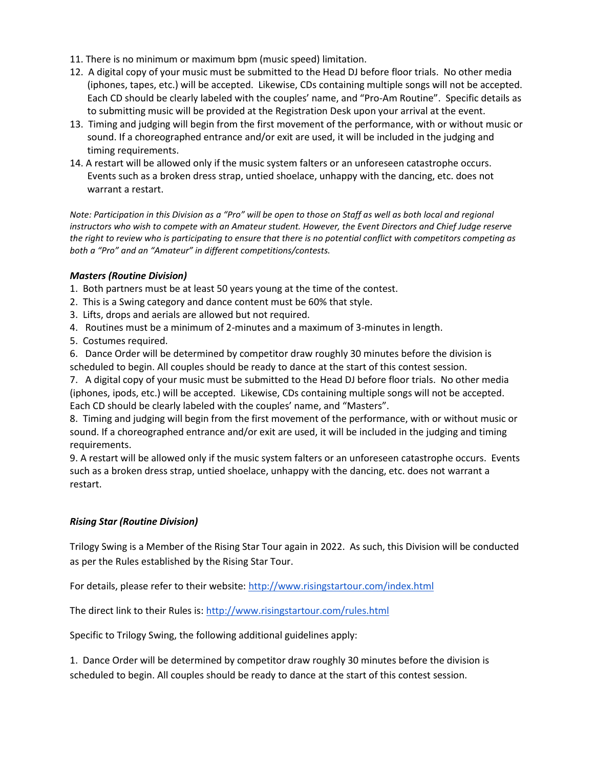- 11. There is no minimum or maximum bpm (music speed) limitation.
- 12. A digital copy of your music must be submitted to the Head DJ before floor trials. No other media (iphones, tapes, etc.) will be accepted. Likewise, CDs containing multiple songs will not be accepted. Each CD should be clearly labeled with the couples' name, and "Pro-Am Routine". Specific details as to submitting music will be provided at the Registration Desk upon your arrival at the event.
- 13. Timing and judging will begin from the first movement of the performance, with or without music or sound. If a choreographed entrance and/or exit are used, it will be included in the judging and timing requirements.
- 14. A restart will be allowed only if the music system falters or an unforeseen catastrophe occurs. Events such as a broken dress strap, untied shoelace, unhappy with the dancing, etc. does not warrant a restart.

*Note: Participation in this Division as a "Pro" will be open to those on Staff as well as both local and regional instructors who wish to compete with an Amateur student. However, the Event Directors and Chief Judge reserve the right to review who is participating to ensure that there is no potential conflict with competitors competing as both a "Pro" and an "Amateur" in different competitions/contests.* 

#### *Masters (Routine Division)*

- 1. Both partners must be at least 50 years young at the time of the contest.
- 2. This is a Swing category and dance content must be 60% that style.
- 3. Lifts, drops and aerials are allowed but not required.
- 4. Routines must be a minimum of 2-minutes and a maximum of 3-minutes in length.
- 5. Costumes required.

6. Dance Order will be determined by competitor draw roughly 30 minutes before the division is scheduled to begin. All couples should be ready to dance at the start of this contest session.

7. A digital copy of your music must be submitted to the Head DJ before floor trials. No other media (iphones, ipods, etc.) will be accepted. Likewise, CDs containing multiple songs will not be accepted. Each CD should be clearly labeled with the couples' name, and "Masters".

8. Timing and judging will begin from the first movement of the performance, with or without music or sound. If a choreographed entrance and/or exit are used, it will be included in the judging and timing requirements.

9. A restart will be allowed only if the music system falters or an unforeseen catastrophe occurs. Events such as a broken dress strap, untied shoelace, unhappy with the dancing, etc. does not warrant a restart.

#### *Rising Star (Routine Division)*

Trilogy Swing is a Member of the Rising Star Tour again in 2022. As such, this Division will be conducted as per the Rules established by the Rising Star Tour.

For details, please refer to their website:<http://www.risingstartour.com/index.html>

The direct link to their Rules is:<http://www.risingstartour.com/rules.html>

Specific to Trilogy Swing, the following additional guidelines apply:

1. Dance Order will be determined by competitor draw roughly 30 minutes before the division is scheduled to begin. All couples should be ready to dance at the start of this contest session.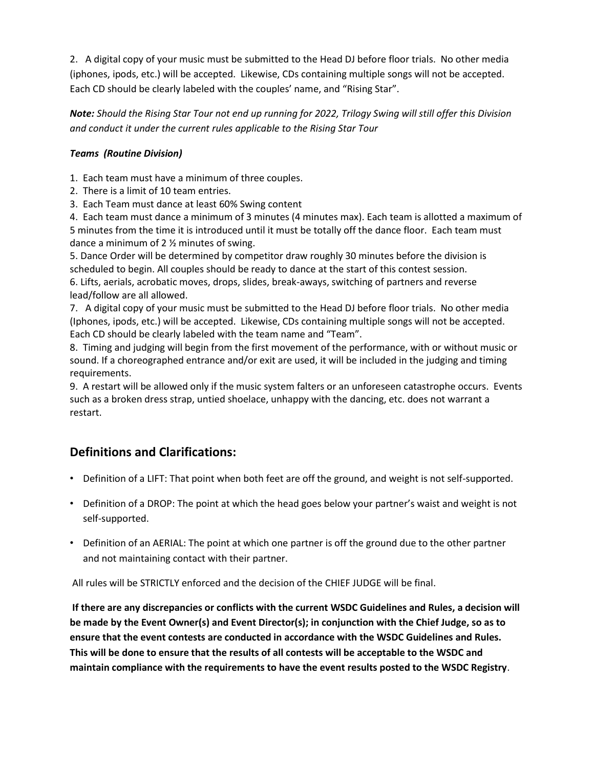2. A digital copy of your music must be submitted to the Head DJ before floor trials. No other media (iphones, ipods, etc.) will be accepted. Likewise, CDs containing multiple songs will not be accepted. Each CD should be clearly labeled with the couples' name, and "Rising Star".

*Note: Should the Rising Star Tour not end up running for 2022, Trilogy Swing will still offer this Division and conduct it under the current rules applicable to the Rising Star Tour*

### *Teams (Routine Division)*

1. Each team must have a minimum of three couples.

- 2. There is a limit of 10 team entries.
- 3. Each Team must dance at least 60% Swing content

4. Each team must dance a minimum of 3 minutes (4 minutes max). Each team is allotted a maximum of 5 minutes from the time it is introduced until it must be totally off the dance floor. Each team must dance a minimum of 2 ½ minutes of swing.

5. Dance Order will be determined by competitor draw roughly 30 minutes before the division is scheduled to begin. All couples should be ready to dance at the start of this contest session. 6. Lifts, aerials, acrobatic moves, drops, slides, break-aways, switching of partners and reverse lead/follow are all allowed.

7. A digital copy of your music must be submitted to the Head DJ before floor trials. No other media (Iphones, ipods, etc.) will be accepted. Likewise, CDs containing multiple songs will not be accepted. Each CD should be clearly labeled with the team name and "Team".

8. Timing and judging will begin from the first movement of the performance, with or without music or sound. If a choreographed entrance and/or exit are used, it will be included in the judging and timing requirements.

9. A restart will be allowed only if the music system falters or an unforeseen catastrophe occurs. Events such as a broken dress strap, untied shoelace, unhappy with the dancing, etc. does not warrant a restart.

# **Definitions and Clarifications:**

- Definition of a LIFT: That point when both feet are off the ground, and weight is not self-supported.
- Definition of a DROP: The point at which the head goes below your partner's waist and weight is not self-supported.
- Definition of an AERIAL: The point at which one partner is off the ground due to the other partner and not maintaining contact with their partner.

All rules will be STRICTLY enforced and the decision of the CHIEF JUDGE will be final.

**If there are any discrepancies or conflicts with the current WSDC Guidelines and Rules, a decision will be made by the Event Owner(s) and Event Director(s); in conjunction with the Chief Judge, so as to ensure that the event contests are conducted in accordance with the WSDC Guidelines and Rules. This will be done to ensure that the results of all contests will be acceptable to the WSDC and maintain compliance with the requirements to have the event results posted to the WSDC Registry**.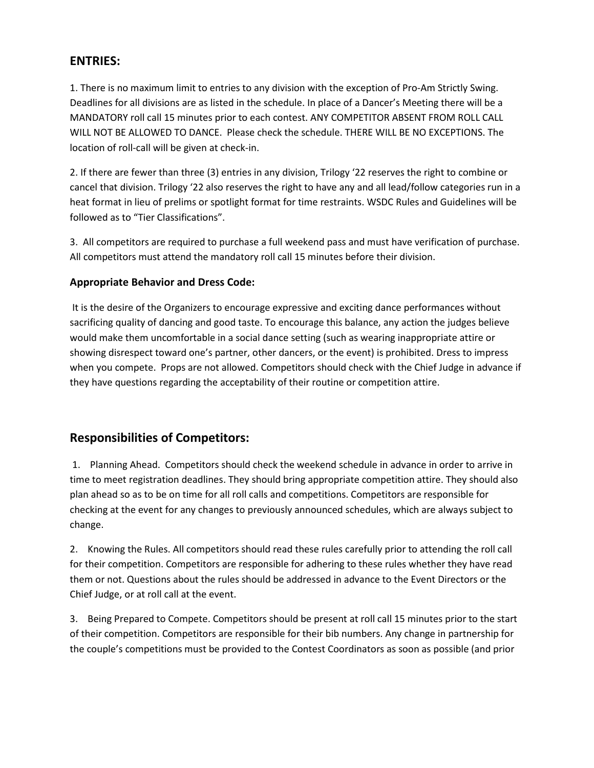## **ENTRIES:**

1. There is no maximum limit to entries to any division with the exception of Pro-Am Strictly Swing. Deadlines for all divisions are as listed in the schedule. In place of a Dancer's Meeting there will be a MANDATORY roll call 15 minutes prior to each contest. ANY COMPETITOR ABSENT FROM ROLL CALL WILL NOT BE ALLOWED TO DANCE. Please check the schedule. THERE WILL BE NO EXCEPTIONS. The location of roll-call will be given at check-in.

2. If there are fewer than three (3) entries in any division, Trilogy '22 reserves the right to combine or cancel that division. Trilogy '22 also reserves the right to have any and all lead/follow categories run in a heat format in lieu of prelims or spotlight format for time restraints. WSDC Rules and Guidelines will be followed as to "Tier Classifications".

3. All competitors are required to purchase a full weekend pass and must have verification of purchase. All competitors must attend the mandatory roll call 15 minutes before their division.

#### **Appropriate Behavior and Dress Code:**

It is the desire of the Organizers to encourage expressive and exciting dance performances without sacrificing quality of dancing and good taste. To encourage this balance, any action the judges believe would make them uncomfortable in a social dance setting (such as wearing inappropriate attire or showing disrespect toward one's partner, other dancers, or the event) is prohibited. Dress to impress when you compete. Props are not allowed. Competitors should check with the Chief Judge in advance if they have questions regarding the acceptability of their routine or competition attire.

# **Responsibilities of Competitors:**

1. Planning Ahead. Competitors should check the weekend schedule in advance in order to arrive in time to meet registration deadlines. They should bring appropriate competition attire. They should also plan ahead so as to be on time for all roll calls and competitions. Competitors are responsible for checking at the event for any changes to previously announced schedules, which are always subject to change.

2. Knowing the Rules. All competitors should read these rules carefully prior to attending the roll call for their competition. Competitors are responsible for adhering to these rules whether they have read them or not. Questions about the rules should be addressed in advance to the Event Directors or the Chief Judge, or at roll call at the event.

3. Being Prepared to Compete. Competitors should be present at roll call 15 minutes prior to the start of their competition. Competitors are responsible for their bib numbers. Any change in partnership for the couple's competitions must be provided to the Contest Coordinators as soon as possible (and prior